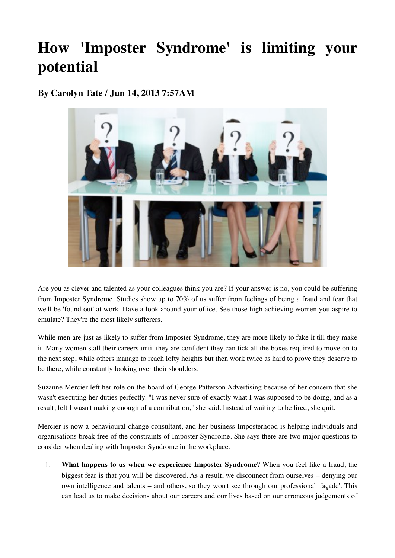# **How 'Imposter Syndrome' is limiting your potential**

**By Carolyn Tate / Jun 14, 2013 7:57AM** 



Are you as clever and talented as your colleagues think you are? If your answer is no, you could be suffering from Imposter Syndrome. Studies show up to 70% of us suffer from feelings of being a fraud and fear that we'll be 'found out' at work. Have a look around your office. See those high achieving women you aspire to emulate? They're the most likely sufferers.

While men are just as likely to suffer from Imposter Syndrome, they are more likely to fake it till they make it. Many women stall their careers until they are confident they can tick all the boxes required to move on to the next step, while others manage to reach lofty heights but then work twice as hard to prove they deserve to be there, while constantly looking over their shoulders.

Suzanne Mercier left her role on the board of George Patterson Advertising because of her concern that she wasn't executing her duties perfectly. "I was never sure of exactly what I was supposed to be doing, and as a result, felt I wasn't making enough of a contribution," she said. Instead of waiting to be fired, she quit.

Mercier is now a behavioural change consultant, and her business Imposterhood is helping individuals and organisations break free of the constraints of Imposter Syndrome. She says there are two major questions to consider when dealing with Imposter Syndrome in the workplace:

1. **What happens to us when we experience Imposter Syndrome**? When you feel like a fraud, the biggest fear is that you will be discovered. As a result, we disconnect from ourselves – denying our own intelligence and talents – and others, so they won't see through our professional 'façade'. This can lead us to make decisions about our careers and our lives based on our erroneous judgements of